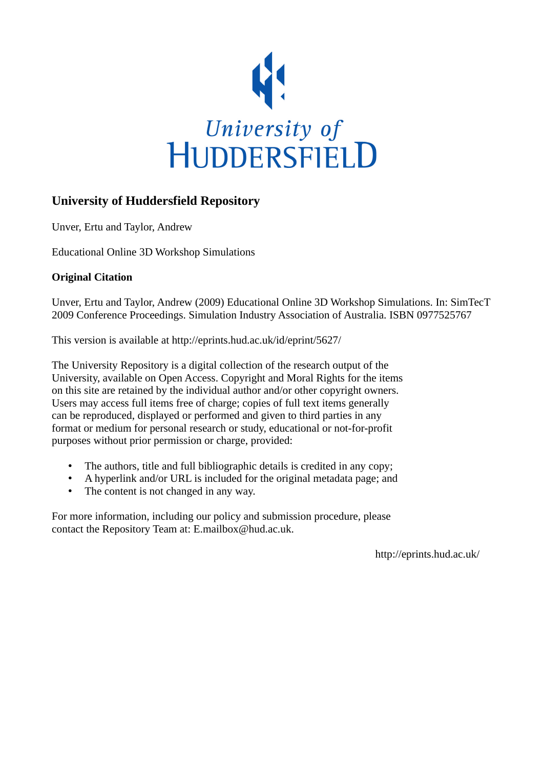

# **University of Huddersfield Repository**

Unver, Ertu and Taylor, Andrew

Educational Online 3D Workshop Simulations

# **Original Citation**

Unver, Ertu and Taylor, Andrew (2009) Educational Online 3D Workshop Simulations. In: SimTecT 2009 Conference Proceedings. Simulation Industry Association of Australia. ISBN 0977525767

This version is available at http://eprints.hud.ac.uk/id/eprint/5627/

The University Repository is a digital collection of the research output of the University, available on Open Access. Copyright and Moral Rights for the items on this site are retained by the individual author and/or other copyright owners. Users may access full items free of charge; copies of full text items generally can be reproduced, displayed or performed and given to third parties in any format or medium for personal research or study, educational or not-for-profit purposes without prior permission or charge, provided:

- The authors, title and full bibliographic details is credited in any copy;
- A hyperlink and/or URL is included for the original metadata page; and
- The content is not changed in any way.

For more information, including our policy and submission procedure, please contact the Repository Team at: E.mailbox@hud.ac.uk.

http://eprints.hud.ac.uk/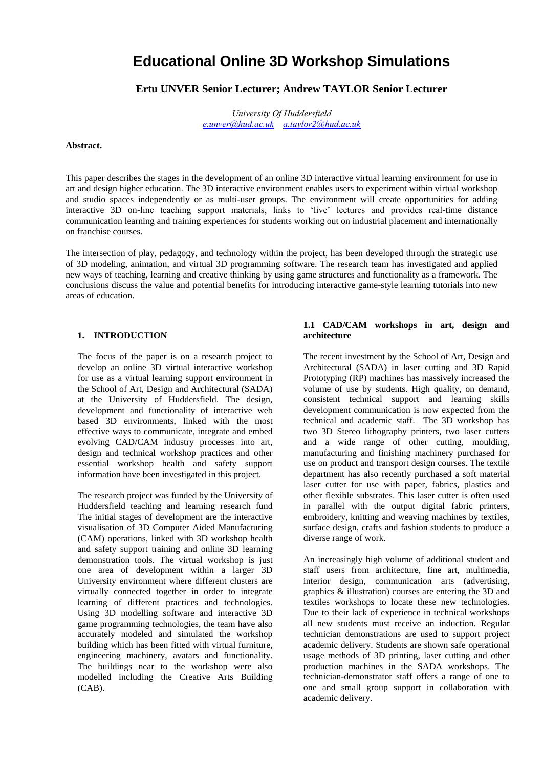# **Educational Online 3D Workshop Simulations**

# **Ertu UNVER Senior Lecturer; Andrew TAYLOR Senior Lecturer**

*University Of Huddersfield [e.unver@hud.ac.uk](mailto:e.unver@hud.ac.uk) [a.taylor2@hud.ac.uk](mailto:a.taylor2@hud.ac.uk)*

### **Abstract.**

This paper describes the stages in the development of an online 3D interactive virtual learning environment for use in art and design higher education. The 3D interactive environment enables users to experiment within virtual workshop and studio spaces independently or as multi-user groups. The environment will create opportunities for adding interactive 3D on-line teaching support materials, links to "live" lectures and provides real-time distance communication learning and training experiences for students working out on industrial placement and internationally on franchise courses.

The intersection of play, pedagogy, and technology within the project, has been developed through the strategic use of 3D modeling, animation, and virtual 3D programming software. The research team has investigated and applied new ways of teaching, learning and creative thinking by using game structures and functionality as a framework. The conclusions discuss the value and potential benefits for introducing interactive game-style learning tutorials into new areas of education.

### **1. INTRODUCTION**

The focus of the paper is on a research project to develop an online 3D virtual interactive workshop for use as a virtual learning support environment in the School of Art, Design and Architectural (SADA) at the University of Huddersfield. The design, development and functionality of interactive web based 3D environments, linked with the most effective ways to communicate, integrate and embed evolving CAD/CAM industry processes into art, design and technical workshop practices and other essential workshop health and safety support information have been investigated in this project.

The research project was funded by the University of Huddersfield teaching and learning research fund The initial stages of development are the interactive visualisation of 3D Computer Aided Manufacturing (CAM) operations, linked with 3D workshop health and safety support training and online 3D learning demonstration tools. The virtual workshop is just one area of development within a larger 3D University environment where different clusters are virtually connected together in order to integrate learning of different practices and technologies. Using 3D modelling software and interactive 3D game programming technologies, the team have also accurately modeled and simulated the workshop building which has been fitted with virtual furniture, engineering machinery, avatars and functionality. The buildings near to the workshop were also modelled including the Creative Arts Building (CAB).

# **1.1 CAD/CAM workshops in art, design and architecture**

The recent investment by the School of Art, Design and Architectural (SADA) in laser cutting and 3D Rapid Prototyping (RP) machines has massively increased the volume of use by students. High quality, on demand, consistent technical support and learning skills development communication is now expected from the technical and academic staff. The 3D workshop has two 3D Stereo lithography printers, two laser cutters and a wide range of other cutting, moulding, manufacturing and finishing machinery purchased for use on product and transport design courses. The textile department has also recently purchased a soft material laser cutter for use with paper, fabrics, plastics and other flexible substrates. This laser cutter is often used in parallel with the output digital fabric printers, embroidery, knitting and weaving machines by textiles, surface design, crafts and fashion students to produce a diverse range of work.

An increasingly high volume of additional student and staff users from architecture, fine art, multimedia, interior design, communication arts (advertising, graphics & illustration) courses are entering the 3D and textiles workshops to locate these new technologies. Due to their lack of experience in technical workshops all new students must receive an induction. Regular technician demonstrations are used to support project academic delivery. Students are shown safe operational usage methods of 3D printing, laser cutting and other production machines in the SADA workshops. The technician-demonstrator staff offers a range of one to one and small group support in collaboration with academic delivery.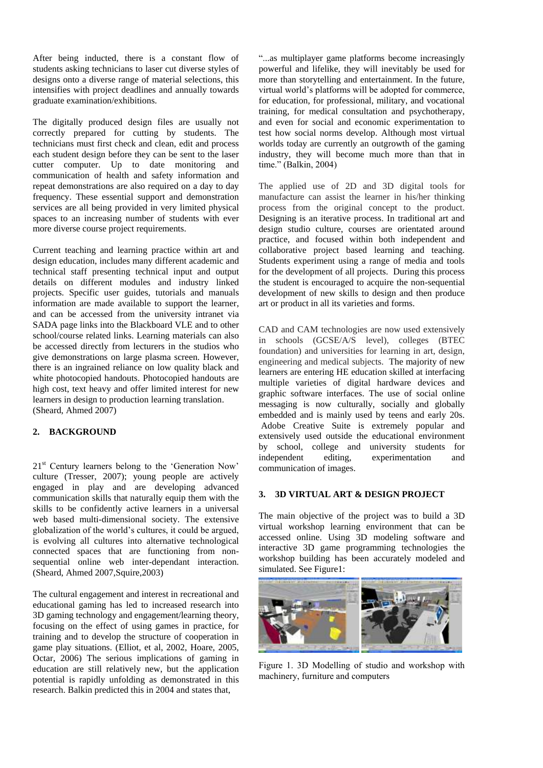After being inducted, there is a constant flow of students asking technicians to laser cut diverse styles of designs onto a diverse range of material selections, this intensifies with project deadlines and annually towards graduate examination/exhibitions.

The digitally produced design files are usually not correctly prepared for cutting by students. The technicians must first check and clean, edit and process each student design before they can be sent to the laser cutter computer. Up to date monitoring and communication of health and safety information and repeat demonstrations are also required on a day to day frequency. These essential support and demonstration services are all being provided in very limited physical spaces to an increasing number of students with ever more diverse course project requirements.

Current teaching and learning practice within art and design education, includes many different academic and technical staff presenting technical input and output details on different modules and industry linked projects. Specific user guides, tutorials and manuals information are made available to support the learner, and can be accessed from the university intranet via SADA page links into the Blackboard VLE and to other school/course related links. Learning materials can also be accessed directly from lecturers in the studios who give demonstrations on large plasma screen. However, there is an ingrained reliance on low quality black and white photocopied handouts. Photocopied handouts are high cost, text heavy and offer limited interest for new learners in design to production learning translation. (Sheard, Ahmed 2007)

# **2. BACKGROUND**

21<sup>st</sup> Century learners belong to the 'Generation Now' culture (Tresser, 2007); young people are actively engaged in play and are developing advanced communication skills that naturally equip them with the skills to be confidently active learners in a universal web based multi-dimensional society. The extensive globalization of the world"s cultures, it could be argued, is evolving all cultures into alternative technological connected spaces that are functioning from nonsequential online web inter-dependant interaction. (Sheard, Ahmed 2007,Squire,2003)

The cultural engagement and interest in recreational and educational gaming has led to increased research into 3D gaming technology and engagement/learning theory, focusing on the effect of using games in practice, for training and to develop the structure of cooperation in game play situations. (Elliot, et al, 2002, Hoare, 2005, Octar, 2006) The serious implications of gaming in education are still relatively new, but the application potential is rapidly unfolding as demonstrated in this research. Balkin predicted this in 2004 and states that,

"...as multiplayer game platforms become increasingly powerful and lifelike, they will inevitably be used for more than storytelling and entertainment. In the future, virtual world"s platforms will be adopted for commerce, for education, for professional, military, and vocational training, for medical consultation and psychotherapy, and even for social and economic experimentation to test how social norms develop. Although most virtual worlds today are currently an outgrowth of the gaming industry, they will become much more than that in time." (Balkin, 2004)

The applied use of 2D and 3D digital tools for manufacture can assist the learner in his/her thinking process from the original concept to the product. Designing is an iterative process. In traditional art and design studio culture, courses are orientated around practice, and focused within both independent and collaborative project based learning and teaching. Students experiment using a range of media and tools for the development of all projects. During this process the student is encouraged to acquire the non-sequential development of new skills to design and then produce art or product in all its varieties and forms.

CAD and CAM technologies are now used extensively in schools (GCSE/A/S level), colleges (BTEC foundation) and universities for learning in art, design, engineering and medical subjects. The majority of new learners are entering HE education skilled at interfacing multiple varieties of digital hardware devices and graphic software interfaces. The use of social online messaging is now culturally, socially and globally embedded and is mainly used by teens and early 20s. Adobe Creative Suite is extremely popular and extensively used outside the educational environment by school, college and university students for independent editing, experimentation and communication of images.

# **3. 3D VIRTUAL ART & DESIGN PROJECT**

The main objective of the project was to build a 3D virtual workshop learning environment that can be accessed online. Using 3D modeling software and interactive 3D game programming technologies the workshop building has been accurately modeled and simulated. See Figure1:



Figure 1. 3D Modelling of studio and workshop with machinery, furniture and computers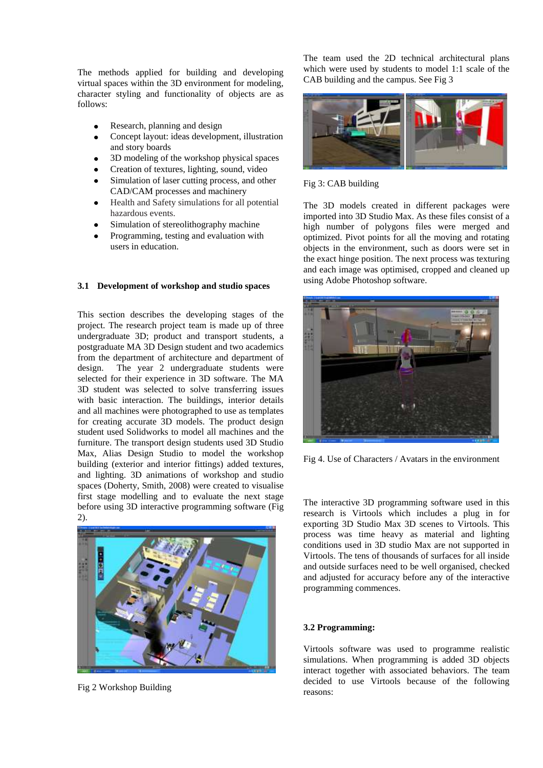The methods applied for building and developing virtual spaces within the 3D environment for modeling, character styling and functionality of objects are as follows:

- Research, planning and design
- Concept layout: ideas development, illustration and story boards
- 3D modeling of the workshop physical spaces
- Creation of textures, lighting, sound, video
- Simulation of laser cutting process, and other CAD/CAM processes and machinery
- Health and Safety simulations for all potential  $\bullet$ hazardous events.
- Simulation of stereolithography machine
- Programming, testing and evaluation with users in education.

#### **3.1 Development of workshop and studio spaces**

This section describes the developing stages of the project. The research project team is made up of three undergraduate 3D; product and transport students, a postgraduate MA 3D Design student and two academics from the department of architecture and department of design. The year 2 undergraduate students were selected for their experience in 3D software. The MA 3D student was selected to solve transferring issues with basic interaction. The buildings, interior details and all machines were photographed to use as templates for creating accurate 3D models. The product design student used Solidworks to model all machines and the furniture. The transport design students used 3D Studio Max, Alias Design Studio to model the workshop building (exterior and interior fittings) added textures, and lighting. 3D animations of workshop and studio spaces (Doherty, Smith, 2008) were created to visualise first stage modelling and to evaluate the next stage before using 3D interactive programming software (Fig 2).



Fig 2 Workshop Building

The team used the 2D technical architectural plans which were used by students to model 1:1 scale of the CAB building and the campus. See Fig 3



Fig 3: CAB building

The 3D models created in different packages were imported into 3D Studio Max. As these files consist of a high number of polygons files were merged and optimized. Pivot points for all the moving and rotating objects in the environment, such as doors were set in the exact hinge position. The next process was texturing and each image was optimised, cropped and cleaned up using Adobe Photoshop software.



Fig 4. Use of Characters / Avatars in the environment

The interactive 3D programming software used in this research is Virtools which includes a plug in for exporting 3D Studio Max 3D scenes to Virtools. This process was time heavy as material and lighting conditions used in 3D studio Max are not supported in Virtools. The tens of thousands of surfaces for all inside and outside surfaces need to be well organised, checked and adjusted for accuracy before any of the interactive programming commences.

### **3.2 Programming:**

Virtools software was used to programme realistic simulations. When programming is added 3D objects interact together with associated behaviors. The team decided to use Virtools because of the following reasons: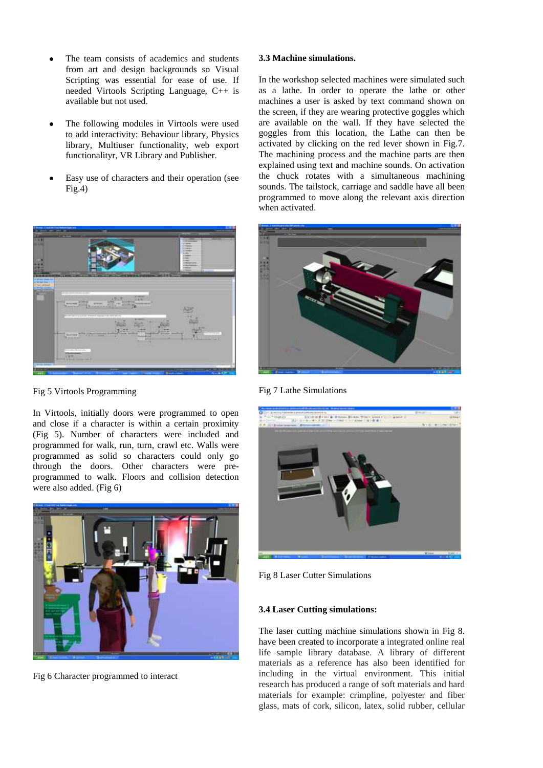- The team consists of academics and students from art and design backgrounds so Visual Scripting was essential for ease of use. If needed Virtools Scripting Language, C++ is available but not used.
- The following modules in Virtools were used to add interactivity: Behaviour library, Physics library, Multiuser functionality, web export functionalityr, VR Library and Publisher.
- Easy use of characters and their operation (see  $Fig.4)$



Fig 5 Virtools Programming

In Virtools, initially doors were programmed to open and close if a character is within a certain proximity (Fig 5). Number of characters were included and programmed for walk, run, turn, crawl etc. Walls were programmed as solid so characters could only go through the doors. Other characters were preprogrammed to walk. Floors and collision detection were also added. (Fig 6)



Fig 6 Character programmed to interact

# **3.3 Machine simulations.**

In the workshop selected machines were simulated such as a lathe. In order to operate the lathe or other machines a user is asked by text command shown on the screen, if they are wearing protective goggles which are available on the wall. If they have selected the goggles from this location, the Lathe can then be activated by clicking on the red lever shown in Fig.7. The machining process and the machine parts are then explained using text and machine sounds. On activation the chuck rotates with a simultaneous machining sounds. The tailstock, carriage and saddle have all been programmed to move along the relevant axis direction when activated.



Fig 7 Lathe Simulations



Fig 8 Laser Cutter Simulations

# **3.4 Laser Cutting simulations:**

The laser cutting machine simulations shown in Fig 8. have been created to incorporate a integrated online real life sample library database. A library of different materials as a reference has also been identified for including in the virtual environment. This initial research has produced a range of soft materials and hard materials for example: crimpline, polyester and fiber glass, mats of cork, silicon, latex, solid rubber, cellular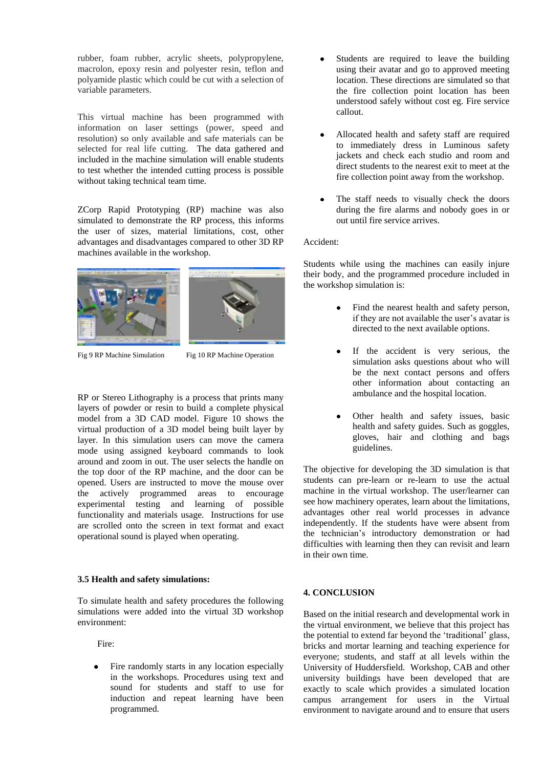rubber, foam rubber, acrylic sheets, polypropylene, macrolon, epoxy resin and polyester resin, teflon and polyamide plastic which could be cut with a selection of variable parameters.

This virtual machine has been programmed with information on laser settings (power, speed and resolution) so only available and safe materials can be selected for real life cutting. The data gathered and included in the machine simulation will enable students to test whether the intended cutting process is possible without taking technical team time.

ZCorp Rapid Prototyping (RP) machine was also simulated to demonstrate the RP process, this informs the user of sizes, material limitations, cost, other advantages and disadvantages compared to other 3D RP machines available in the workshop.





Fig 9 RP Machine Simulation Fig 10 RP Machine Operation

RP or Stereo Lithography is a process that prints many layers of powder or resin to build a complete physical model from a 3D CAD model. Figure 10 shows the virtual production of a 3D model being built layer by layer. In this simulation users can move the camera mode using assigned keyboard commands to look around and zoom in out. The user selects the handle on the top door of the RP machine, and the door can be opened. Users are instructed to move the mouse over the actively programmed areas to encourage experimental testing and learning of possible functionality and materials usage. Instructions for use are scrolled onto the screen in text format and exact operational sound is played when operating.

# **3.5 Health and safety simulations:**

To simulate health and safety procedures the following simulations were added into the virtual 3D workshop environment:

Fire:

Fire randomly starts in any location especially in the workshops. Procedures using text and sound for students and staff to use for induction and repeat learning have been programmed.

- Students are required to leave the building using their avatar and go to approved meeting location. These directions are simulated so that the fire collection point location has been understood safely without cost eg. Fire service callout.
- Allocated health and safety staff are required to immediately dress in Luminous safety jackets and check each studio and room and direct students to the nearest exit to meet at the fire collection point away from the workshop.
- The staff needs to visually check the doors during the fire alarms and nobody goes in or out until fire service arrives.

### Accident:

Students while using the machines can easily injure their body, and the programmed procedure included in the workshop simulation is:

- Find the nearest health and safety person, if they are not available the user's avatar is directed to the next available options.
- If the accident is very serious, the simulation asks questions about who will be the next contact persons and offers other information about contacting an ambulance and the hospital location.
- Other health and safety issues, basic health and safety guides. Such as goggles, gloves, hair and clothing and bags guidelines.

The objective for developing the 3D simulation is that students can pre-learn or re-learn to use the actual machine in the virtual workshop. The user/learner can see how machinery operates, learn about the limitations, advantages other real world processes in advance independently. If the students have were absent from the technician"s introductory demonstration or had difficulties with learning then they can revisit and learn in their own time.

# **4. CONCLUSION**

Based on the initial research and developmental work in the virtual environment, we believe that this project has the potential to extend far beyond the "traditional" glass, bricks and mortar learning and teaching experience for everyone; students, and staff at all levels within the University of Huddersfield. Workshop, CAB and other university buildings have been developed that are exactly to scale which provides a simulated location campus arrangement for users in the Virtual environment to navigate around and to ensure that users